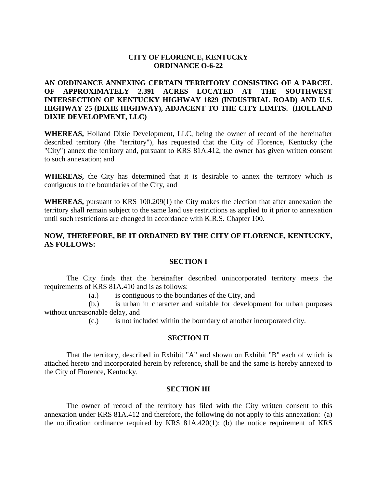# **CITY OF FLORENCE, KENTUCKY ORDINANCE O-6-22**

# **AN ORDINANCE ANNEXING CERTAIN TERRITORY CONSISTING OF A PARCEL OF APPROXIMATELY 2.391 ACRES LOCATED AT THE SOUTHWEST INTERSECTION OF KENTUCKY HIGHWAY 1829 (INDUSTRIAL ROAD) AND U.S. HIGHWAY 25 (DIXIE HIGHWAY), ADJACENT TO THE CITY LIMITS. (HOLLAND DIXIE DEVELOPMENT, LLC)**

**WHEREAS,** Holland Dixie Development, LLC, being the owner of record of the hereinafter described territory (the "territory"), has requested that the City of Florence, Kentucky (the "City") annex the territory and, pursuant to KRS 81A.412, the owner has given written consent to such annexation; and

**WHEREAS,** the City has determined that it is desirable to annex the territory which is contiguous to the boundaries of the City, and

**WHEREAS,** pursuant to KRS 100.209(1) the City makes the election that after annexation the territory shall remain subject to the same land use restrictions as applied to it prior to annexation until such restrictions are changed in accordance with K.R.S. Chapter 100.

## **NOW, THEREFORE, BE IT ORDAINED BY THE CITY OF FLORENCE, KENTUCKY, AS FOLLOWS:**

### **SECTION I**

The City finds that the hereinafter described unincorporated territory meets the requirements of KRS 81A.410 and is as follows:

(a.) is contiguous to the boundaries of the City, and

(b.) is urban in character and suitable for development for urban purposes without unreasonable delay, and

(c.) is not included within the boundary of another incorporated city.

### **SECTION II**

That the territory, described in Exhibit "A" and shown on Exhibit "B" each of which is attached hereto and incorporated herein by reference, shall be and the same is hereby annexed to the City of Florence, Kentucky.

#### **SECTION III**

The owner of record of the territory has filed with the City written consent to this annexation under KRS 81A.412 and therefore, the following do not apply to this annexation: (a) the notification ordinance required by KRS 81A.420(1); (b) the notice requirement of KRS